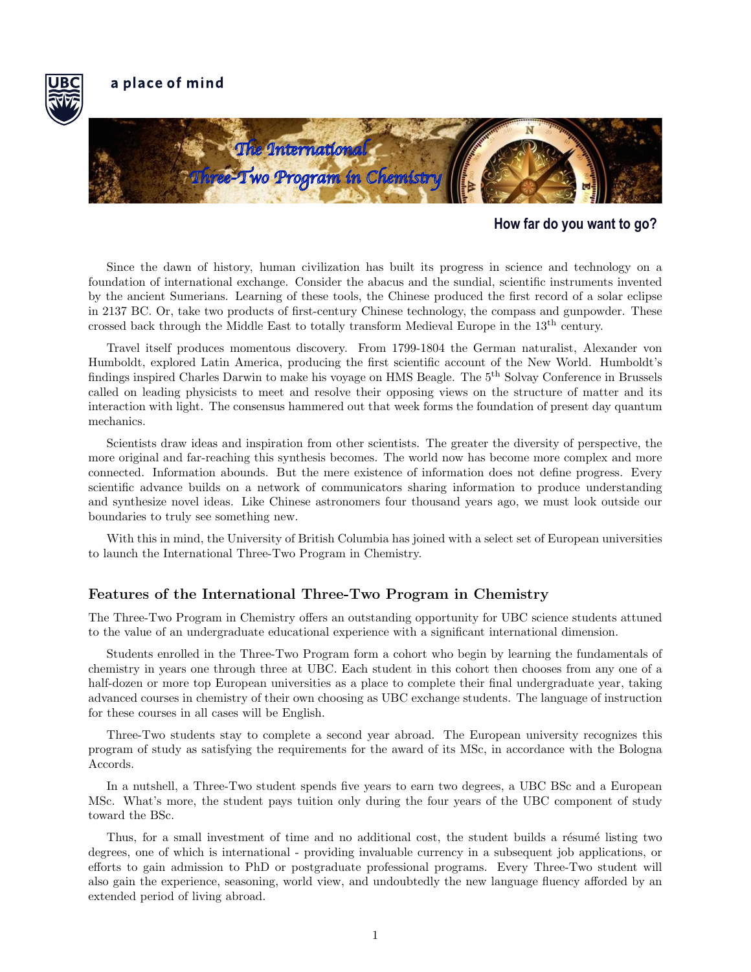



## **How far do you want to go?**

by the ancient Sumerians. Learning of these tools, the Chinese produced the first record of a solar eclipse Since the dawn of history, human civilization has built its progress in science and technology on a foundation of international exchange. Consider the abacus and the sundial, scientific instruments invented in 2137 BC. Or, take two products of first-century Chinese technology, the compass and gunpowder. These crossed back through the Middle East to totally transform Medieval Europe in the 13th century.

Travel itself produces momentous discovery. From 1799-1804 the German naturalist, Alexander von Humboldt, explored Latin America, producing the first scientific account of the New World. Humboldt's findings inspired Charles Darwin to make his voyage on HMS Beagle. The 5th Solvay Conference in Brussels called on leading physicists to meet and resolve their opposing views on the structure of matter and its interaction with light. The consensus hammered out that week forms the foundation of present day quantum mechanics.

connected. Information abounds. But the mere existence of information does not define progress. Every Scientists draw ideas and inspiration from other scientists. The greater the diversity of perspective, the more original and far-reaching this synthesis becomes. The world now has become more complex and more scientific advance builds on a network of communicators sharing information to produce understanding and synthesize novel ideas. Like Chinese astronomers four thousand years ago, we must look outside our boundaries to truly see something new.

With this in mind, the University of British Columbia has joined with a select set of European universities to launch the International Three-Two Program in Chemistry.

## Features of the International Three-Two Program in Chemistry

The Three-Two Program in Chemistry offers an outstanding opportunity for UBC science students attuned to the value of an undergraduate educational experience with a significant international dimension.

Students enrolled in the Three-Two Program form a cohort who begin by learning the fundamentals of chemistry in years one through three at UBC. Each student in this cohort then chooses from any one of a half-dozen or more top European universities as a place to complete their final undergraduate year, taking advanced courses in chemistry of their own choosing as UBC exchange students. The language of instruction for these courses in all cases will be English.

Three-Two students stay to complete a second year abroad. The European university recognizes this program of study as satisfying the requirements for the award of its MSc, in accordance with the Bologna Accords.

In a nutshell, a Three-Two student spends five years to earn two degrees, a UBC BSc and a European MSc. What's more, the student pays tuition only during the four years of the UBC component of study toward the BSc.

Thus, for a small investment of time and no additional cost, the student builds a résumé listing two degrees, one of which is international - providing invaluable currency in a subsequent job applications, or efforts to gain admission to PhD or postgraduate professional programs. Every Three-Two student will also gain the experience, seasoning, world view, and undoubtedly the new language fluency afforded by an extended period of living abroad.